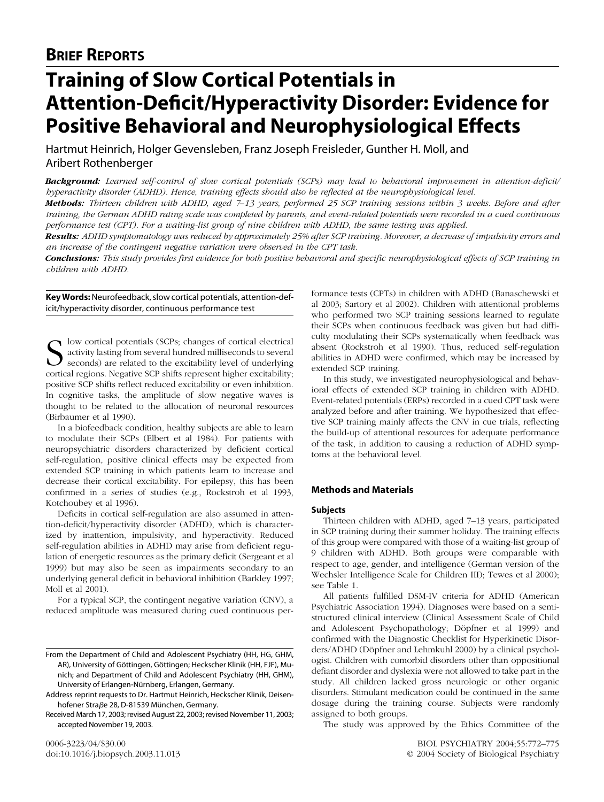# **BRIEF REPORTS**

# **Training of Slow Cortical Potentials in Attention-Deficit/Hyperactivity Disorder: Evidence for Positive Behavioral and Neurophysiological Effects**

Hartmut Heinrich, Holger Gevensleben, Franz Joseph Freisleder, Gunther H. Moll, and Aribert Rothenberger

*Background: Learned self-control of slow cortical potentials (SCPs) may lead to behavioral improvement in attention-deficit/ hyperactivity disorder (ADHD). Hence, training effects should also be reflected at the neurophysiological level.*

*Methods: Thirteen children with ADHD, aged 7–13 years, performed 25 SCP training sessions within 3 weeks. Before and after training, the German ADHD rating scale was completed by parents, and event-related potentials were recorded in a cued continuous performance test (CPT). For a waiting-list group of nine children with ADHD, the same testing was applied.*

*Results: ADHD symptomatology was reduced by approximately 25% after SCP training. Moreover, a decrease of impulsivity errors and an increase of the contingent negative variation were observed in the CPT task.*

*Conclusions: This study provides first evidence for both positive behavioral and specific neurophysiological effects of SCP training in children with ADHD.*

# **Key Words:**Neurofeedback, slow cortical potentials, attention-deficit/hyperactivity disorder, continuous performance test

Slow cortical potentials (SCPs; changes of cortical electrical activity lasting from several hundred milliseconds to several  $\bigcup$  seconds) are related to the excitability level of underlying cortical regions. Negative SCP shifts represent higher excitability; positive SCP shifts reflect reduced excitability or even inhibition. In cognitive tasks, the amplitude of slow negative waves is thought to be related to the allocation of neuronal resources [\(Birbaumer et al 1990\)](#page-2-0).

In a biofeedback condition, healthy subjects are able to learn to modulate their SCPs [\(Elbert et al 1984\)](#page-2-0). For patients with neuropsychiatric disorders characterized by deficient cortical self-regulation, positive clinical effects may be expected from extended SCP training in which patients learn to increase and decrease their cortical excitability. For epilepsy, this has been confirmed in a series of studies (e.g., [Rockstroh et al 1993,](#page-3-0) [Kotchoubey et al 1996\)](#page-3-0).

Deficits in cortical self-regulation are also assumed in attention-deficit/hyperactivity disorder (ADHD), which is characterized by inattention, impulsivity, and hyperactivity. Reduced self-regulation abilities in ADHD may arise from deficient regulation of energetic resources as the primary deficit [\(Sergeant et al](#page-3-0) [1999\)](#page-3-0) but may also be seen as impairments secondary to an underlying general deficit in behavioral inhibition [\(Barkley 1997;](#page-2-0) [Moll et al 2001\)](#page-2-0).

For a typical SCP, the contingent negative variation (CNV), a reduced amplitude was measured during cued continuous per-

formance tests (CPTs) in children with ADHD [\(Banaschewski et](#page-2-0) [al 2003; Sartory et al 2002\)](#page-2-0). Children with attentional problems who performed two SCP training sessions learned to regulate their SCPs when continuous feedback was given but had difficulty modulating their SCPs systematically when feedback was absent [\(Rockstroh et al 1990\)](#page-3-0). Thus, reduced self-regulation abilities in ADHD were confirmed, which may be increased by extended SCP training.

In this study, we investigated neurophysiological and behavioral effects of extended SCP training in children with ADHD. Event-related potentials (ERPs) recorded in a cued CPT task were analyzed before and after training. We hypothesized that effective SCP training mainly affects the CNV in cue trials, reflecting the build-up of attentional resources for adequate performance of the task, in addition to causing a reduction of ADHD symptoms at the behavioral level.

# **Methods and Materials**

#### **Subjects**

Thirteen children with ADHD, aged 7–13 years, participated in SCP training during their summer holiday. The training effects of this group were compared with those of a waiting-list group of 9 children with ADHD. Both groups were comparable with respect to age, gender, and intelligence (German version of the Wechsler Intelligence Scale for Children III); [Tewes et al 2000\)](#page-3-0); see [Table 1.](#page-1-0)

All patients fulfilled DSM-IV criteria for ADHD [\(American](#page-2-0) [Psychiatric Association 1994\)](#page-2-0). Diagnoses were based on a semistructured clinical interview (Clinical Assessment Scale of Child and Adolescent Psychopathology; Döpfner et al 1999) and confirmed with the Diagnostic Checklist for Hyperkinetic Disorders/ADHD (Döpfner and Lehmkuhl 2000) by a clinical psychologist. Children with comorbid disorders other than oppositional defiant disorder and dyslexia were not allowed to take part in the study. All children lacked gross neurologic or other organic disorders. Stimulant medication could be continued in the same dosage during the training course. Subjects were randomly assigned to both groups.

The study was approved by the Ethics Committee of the

From the Department of Child and Adolescent Psychiatry (HH, HG, GHM, AR), University of Göttingen, Göttingen; Heckscher Klinik (HH, FJF), Munich; and Department of Child and Adolescent Psychiatry (HH, GHM), University of Erlangen-Nürnberg, Erlangen, Germany.

Address reprint requests to Dr. Hartmut Heinrich, Heckscher Klinik, Deisenhofener Straße 28, D-81539 München, Germany.

Received March 17, 2003; revised August 22, 2003; revised November 11, 2003; accepted November 19, 2003.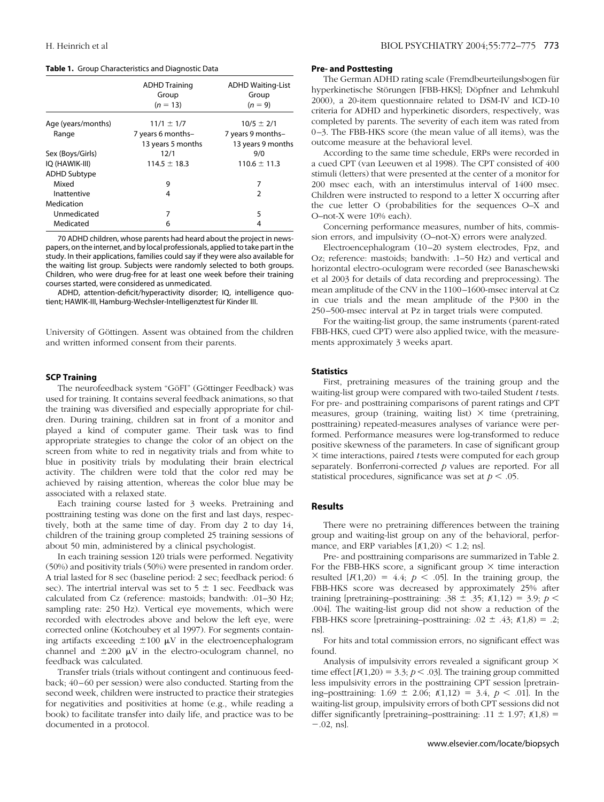<span id="page-1-0"></span>

|  | Table 1. Group Characteristics and Diagnostic Data |  |  |
|--|----------------------------------------------------|--|--|
|  |                                                    |  |  |

|                     | <b>ADHD Training</b><br>Group<br>$(n = 13)$ | <b>ADHD Waiting-List</b><br>Group<br>$(n = 9)$ |  |  |
|---------------------|---------------------------------------------|------------------------------------------------|--|--|
| Age (years/months)  | $11/1 \pm 1/7$                              | $10/5 \pm 2/1$                                 |  |  |
| Range               | 7 years 6 months-                           | 7 years 9 months-                              |  |  |
|                     | 13 years 5 months                           | 13 years 9 months                              |  |  |
| Sex (Boys/Girls)    | 12/1                                        | 9/0                                            |  |  |
| IO (HAWIK-III)      | $114.5 \pm 18.3$                            | $110.6 \pm 11.3$                               |  |  |
| <b>ADHD Subtype</b> |                                             |                                                |  |  |
| Mixed               | 9                                           | 7                                              |  |  |
| Inattentive         | 4                                           | $\mathcal{P}$                                  |  |  |
| Medication          |                                             |                                                |  |  |
| Unmedicated         | 7                                           | 5                                              |  |  |
| Medicated           | 6                                           |                                                |  |  |

70 ADHD children, whose parents had heard about the project in newspapers, on the internet, and by local professionals, applied to take part in the study. In their applications, families could say if they were also available for the waiting list group. Subjects were randomly selected to both groups. Children, who were drug-free for at least one week before their training courses started, were considered as unmedicated.

ADHD, attention-deficit/hyperactivity disorder; IQ, intelligence quotient; HAWIK-III, Hamburg-Wechsler-Intelligenztest für Kinder III.

University of Göttingen. Assent was obtained from the children and written informed consent from their parents.

#### **SCP Training**

The neurofeedback system "GöFI" (Göttinger Feedback) was used for training. It contains several feedback animations, so that the training was diversified and especially appropriate for children. During training, children sat in front of a monitor and played a kind of computer game. Their task was to find appropriate strategies to change the color of an object on the screen from white to red in negativity trials and from white to blue in positivity trials by modulating their brain electrical activity. The children were told that the color red may be achieved by raising attention, whereas the color blue may be associated with a relaxed state.

Each training course lasted for 3 weeks. Pretraining and posttraining testing was done on the first and last days, respectively, both at the same time of day. From day 2 to day 14, children of the training group completed 25 training sessions of about 50 min, administered by a clinical psychologist.

In each training session 120 trials were performed. Negativity (50%) and positivity trials (50%) were presented in random order. A trial lasted for 8 sec (baseline period: 2 sec; feedback period: 6 sec). The intertrial interval was set to  $5 \pm 1$  sec. Feedback was calculated from Cz (reference: mastoids; bandwith: .01–30 Hz; sampling rate: 250 Hz). Vertical eye movements, which were recorded with electrodes above and below the left eye, were corrected online [\(Kotchoubey et al 1997\)](#page-3-0). For segments containing artifacts exceeding  $\pm 100 \mu V$  in the electroencephalogram channel and  $\pm 200$   $\mu$ V in the electro-oculogram channel, no feedback was calculated.

Transfer trials (trials without contingent and continuous feedback; 40–60 per session) were also conducted. Starting from the second week, children were instructed to practice their strategies for negativities and positivities at home (e.g., while reading a book) to facilitate transfer into daily life, and practice was to be documented in a protocol.

## **Pre- and Posttesting**

The German ADHD rating scale (Fremdbeurteilungsbogen für hyperkinetische Störungen [FBB-HKS]; Döpfner and Lehmkuhl [2000\)](#page-2-0), a 20-item questionnaire related to DSM-IV and ICD-10 criteria for ADHD and hyperkinetic disorders, respectively, was completed by parents. The severity of each item was rated from 0–3. The FBB-HKS score (the mean value of all items), was the outcome measure at the behavioral level.

According to the same time schedule, ERPs were recorded in a cued CPT [\(van Leeuwen et al 1998\)](#page-3-0). The CPT consisted of 400 stimuli (letters) that were presented at the center of a monitor for 200 msec each, with an interstimulus interval of 1400 msec. Children were instructed to respond to a letter X occurring after the cue letter O (probabilities for the sequences O–X and O–not-X were 10% each).

Concerning performance measures, number of hits, commission errors, and impulsivity (O–not-X) errors were analyzed.

Electroencephalogram (10–20 system electrodes, Fpz, and Oz; reference: mastoids; bandwith: .1–50 Hz) and vertical and horizontal electro-oculogram were recorded (see [Banaschewski](#page-2-0) [et al 2003](#page-2-0) for details of data recording and preprocessing). The mean amplitude of the CNV in the 1100–1600-msec interval at Cz in cue trials and the mean amplitude of the P300 in the 250–500-msec interval at Pz in target trials were computed.

For the waiting-list group, the same instruments (parent-rated FBB-HKS, cued CPT) were also applied twice, with the measurements approximately 3 weeks apart.

#### **Statistics**

First, pretraining measures of the training group and the waiting-list group were compared with two-tailed Student *t* tests. For pre- and posttraining comparisons of parent ratings and CPT measures, group (training, waiting list)  $\times$  time (pretraining, posttraining) repeated-measures analyses of variance were performed. Performance measures were log-transformed to reduce positive skewness of the parameters. In case of significant group  $\times$  time interactions, paired *t* tests were computed for each group separately. Bonferroni-corrected *p* values are reported. For all statistical procedures, significance was set at  $p < .05$ .

# **Results**

There were no pretraining differences between the training group and waiting-list group on any of the behavioral, performance, and ERP variables  $[t(1,20) < 1.2;$  ns].

Pre- and posttraining comparisons are summarized in [Table 2.](#page-2-0) For the FBB-HKS score, a significant group  $\times$  time interaction resulted  $[F(1,20) = 4.4; p < .05]$ . In the training group, the FBB-HKS score was decreased by approximately 25% after training [pretraining–posttraining: .38  $\pm$  .35;  $t(1,12) = 3.9$ ;  $p \le$ .004]. The waiting-list group did not show a reduction of the FBB-HKS score [pretraining–posttraining:  $.02 \pm .43$ ;  $t(1,8) = .2$ ; ns].

For hits and total commission errors, no significant effect was found.

Analysis of impulsivity errors revealed a significant group  $\times$ time effect  $[F(1,20) = 3.3; p < .03]$ . The training group committed less impulsivity errors in the posttraining CPT session [pretraining–posttraining:  $1.69 \pm 2.06$ ;  $t(1.12) = 3.4$ ,  $p < .01$ ]. In the waiting-list group, impulsivity errors of both CPT sessions did not differ significantly [pretraining–posttraining:  $.11 \pm 1.97$ ;  $t(1,8) =$  $-.02$ , ns].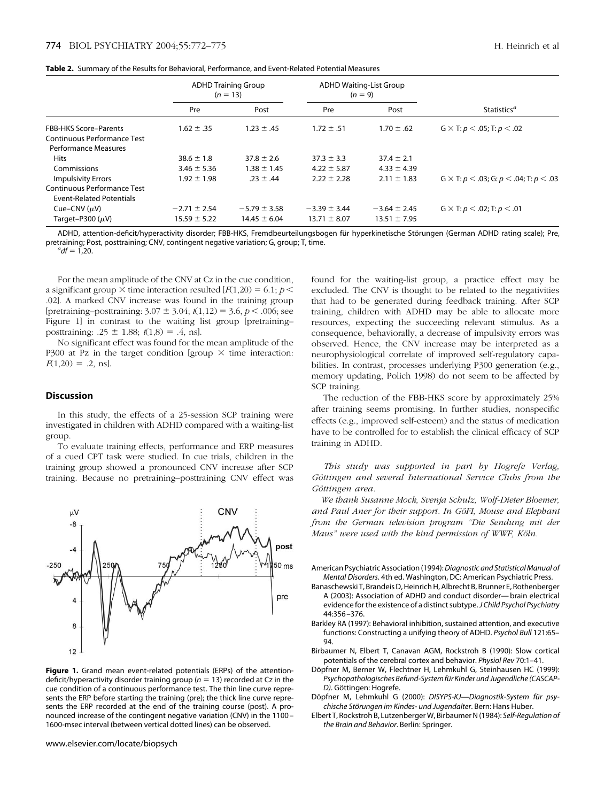<span id="page-2-0"></span>

|                                 | <b>ADHD Training Group</b><br>$(n = 13)$ |                  | <b>ADHD Waiting-List Group</b><br>$(n = 9)$ |                  |                                               |  |
|---------------------------------|------------------------------------------|------------------|---------------------------------------------|------------------|-----------------------------------------------|--|
|                                 | Pre                                      | Post             | Pre                                         | Post             | Statistics <sup><i>a</i></sup>                |  |
| <b>FBB-HKS Score-Parents</b>    | $1.62 \pm .35$                           | $1.23 \pm .45$   | $1.72 \pm .51$                              | $1.70 \pm .62$   | $G \times T: p < .05; T: p < .02$             |  |
| Continuous Performance Test     |                                          |                  |                                             |                  |                                               |  |
| <b>Performance Measures</b>     |                                          |                  |                                             |                  |                                               |  |
| <b>Hits</b>                     | $38.6 \pm 1.8$                           | $37.8 \pm 2.6$   | $37.3 \pm 3.3$                              | $37.4 \pm 2.1$   |                                               |  |
| Commissions                     | $3.46 \pm 5.36$                          | $1.38 \pm 1.45$  | $4.22 \pm 5.87$                             | $4.33 \pm 4.39$  |                                               |  |
| <b>Impulsivity Errors</b>       | $1.92 \pm 1.98$                          | $.23 \pm .44$    | $2.22 \pm 2.28$                             | $2.11 \pm 1.83$  | $G \times T: p < .03; G: p < .04; T: p < .03$ |  |
| Continuous Performance Test     |                                          |                  |                                             |                  |                                               |  |
| <b>Event-Related Potentials</b> |                                          |                  |                                             |                  |                                               |  |
| Cue–CNV $(\mu V)$               | $-2.71 \pm 2.54$                         | $-5.79 \pm 3.58$ | $-3.39 \pm 3.44$                            | $-3.64 \pm 2.45$ | $G \times T: p < .02$ ; T: $p < .01$          |  |
| Target-P300 $(\mu V)$           | $15.59 \pm 5.22$                         | $14.45 \pm 6.04$ | $13.71 \pm 8.07$                            | $13.51 \pm 7.95$ |                                               |  |

ADHD, attention-deficit/hyperactivity disorder; FBB-HKS, Fremdbeurteilungsbogen für hyperkinetische Störungen (German ADHD rating scale); Pre, pretraining; Post, posttraining; CNV, contingent negative variation; G, group; T, time.

 $^{a}$ *df* = 1,20.

For the mean amplitude of the CNV at Cz in the cue condition, a significant group  $\times$  time interaction resulted  $[F(1,20) = 6.1; p <$ .02]. A marked CNV increase was found in the training group [pretraining–posttraining:  $3.07 \pm 3.04$ ;  $t(1,12) = 3.6$ ,  $p < .006$ ; see Figure 1] in contrast to the waiting list group [pretraining– posttraining:  $.25 \pm 1.88$ ;  $t(1,8) = .4$ , ns].

No significant effect was found for the mean amplitude of the P300 at Pz in the target condition [group  $\times$  time interaction:  $F(1,20) = .2$ , ns.

### **Discussion**

In this study, the effects of a 25-session SCP training were investigated in children with ADHD compared with a waiting-list group.

To evaluate training effects, performance and ERP measures of a cued CPT task were studied. In cue trials, children in the training group showed a pronounced CNV increase after SCP training. Because no pretraining–posttraining CNV effect was



**Figure 1.** Grand mean event-related potentials (ERPs) of the attentiondeficit/hyperactivity disorder training group (*n* 13) recorded at Cz in the cue condition of a continuous performance test. The thin line curve represents the ERP before starting the training (pre); the thick line curve represents the ERP recorded at the end of the training course (post). A pronounced increase of the contingent negative variation (CNV) in the 1100 – 1600-msec interval (between vertical dotted lines) can be observed.

found for the waiting-list group, a practice effect may be excluded. The CNV is thought to be related to the negativities that had to be generated during feedback training. After SCP training, children with ADHD may be able to allocate more resources, expecting the succeeding relevant stimulus. As a consequence, behaviorally, a decrease of impulsivity errors was observed. Hence, the CNV increase may be interpreted as a neurophysiological correlate of improved self-regulatory capabilities. In contrast, processes underlying P300 generation (e.g., memory updating, [Polich 1998\)](#page-3-0) do not seem to be affected by SCP training.

The reduction of the FBB-HKS score by approximately 25% after training seems promising. In further studies, nonspecific effects (e.g., improved self-esteem) and the status of medication have to be controlled for to establish the clinical efficacy of SCP training in ADHD.

*This study was supported in part by Hogrefe Verlag,* Göttingen and several International Service Clubs from the Göttingen area.

*We thank Susanne Mock, Svenja Schulz, Wolf-Dieter Bloemer,* and Paul Aner for their support. In GöFI, Mouse and Elephant *from the German television program "Die Sendung mit der Maus*" were used with the kind permission of WWF, Köln.

American Psychiatric Association (1994):*Diagnostic and Statistical Manual of Mental Disorders*. 4th ed. Washington, DC: American Psychiatric Press.

- Banaschewski T, Brandeis D, Heinrich H, Albrecht B, Brunner E, Rothenberger A (2003): Association of ADHD and conduct disorder— brain electrical evidence for the existence of a distinct subtype.*J Child Psychol Psychiatry* 44:356 –376.
- Barkley RA (1997): Behavioral inhibition, sustained attention, and executive functions: Constructing a unifying theory of ADHD. *Psychol Bull* 121:65– 94.
- Birbaumer N, Elbert T, Canavan AGM, Rockstroh B (1990): Slow cortical potentials of the cerebral cortex and behavior. *Physiol Rev* 70:1–41.
- Döpfner M, Berner W, Flechtner H, Lehmkuhl G, Steinhausen HC (1999): *Psychopathologisches Befund-System fu¨r Kinder und Jugendliche (CASCAP-D)*. Göttingen: Hogrefe.
- Döpfner M, Lehmkuhl G (2000): *DISYPS-KJ-Diagnostik-System für psy*chische Störungen im Kindes- und Jugendalter. Bern: Hans Huber.
- Elbert T, Rockstroh B, Lutzenberger W, Birbaumer N (1984): *Self-Regulation of the Brain and Behavior*. Berlin: Springer.